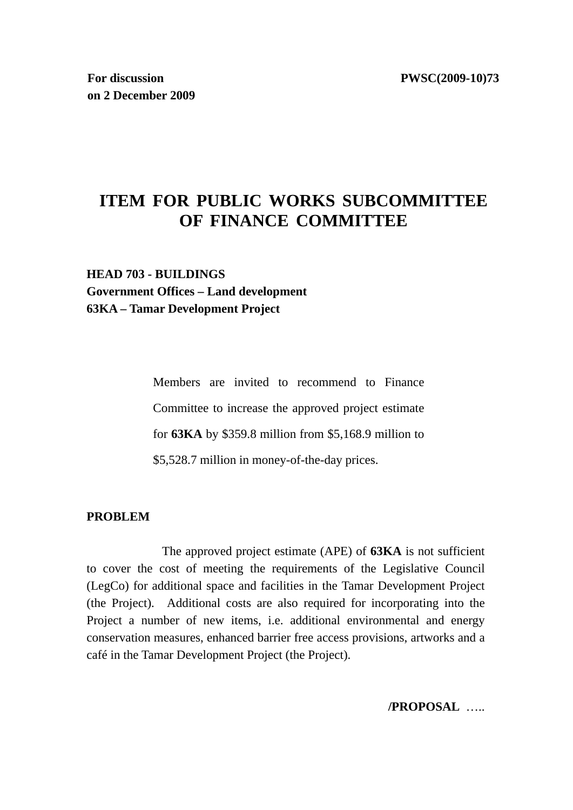# **ITEM FOR PUBLIC WORKS SUBCOMMITTEE OF FINANCE COMMITTEE**

# **HEAD 703 - BUILDINGS Government Offices – Land development 63KA – Tamar Development Project**

Members are invited to recommend to Finance Committee to increase the approved project estimate for **63KA** by \$359.8 million from \$5,168.9 million to \$5,528.7 million in money-of-the-day prices.

#### **PROBLEM**

 The approved project estimate (APE) of **63KA** is not sufficient to cover the cost of meeting the requirements of the Legislative Council (LegCo) for additional space and facilities in the Tamar Development Project (the Project). Additional costs are also required for incorporating into the Project a number of new items, i.e. additional environmental and energy conservation measures, enhanced barrier free access provisions, artworks and a café in the Tamar Development Project (the Project).

**/PROPOSAL** …..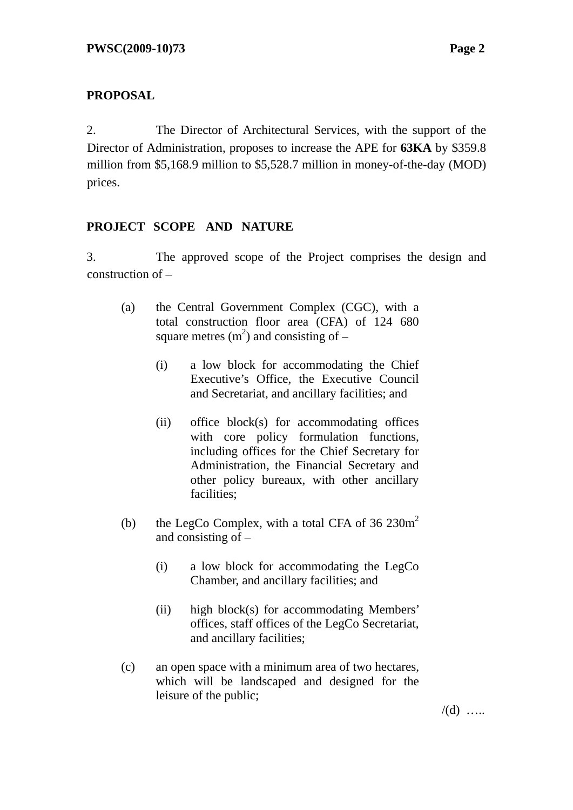## **PROPOSAL**

2. The Director of Architectural Services, with the support of the Director of Administration, proposes to increase the APE for **63KA** by \$359.8 million from \$5,168.9 million to \$5,528.7 million in money-of-the-day (MOD) prices.

## **PROJECT SCOPE AND NATURE**

3. The approved scope of the Project comprises the design and construction of –

- (a) the Central Government Complex (CGC), with a total construction floor area (CFA) of 124 680 square metres  $(m^2)$  and consisting of –
	- (i) a low block for accommodating the Chief Executive's Office, the Executive Council and Secretariat, and ancillary facilities; and
	- (ii) office block(s) for accommodating offices with core policy formulation functions, including offices for the Chief Secretary for Administration, the Financial Secretary and other policy bureaux, with other ancillary facilities;
- (b) the LegCo Complex, with a total CFA of  $36\ 230m^2$ and consisting of –
	- (i) a low block for accommodating the LegCo Chamber, and ancillary facilities; and
	- (ii) high block(s) for accommodating Members' offices, staff offices of the LegCo Secretariat, and ancillary facilities;
- (c) an open space with a minimum area of two hectares, which will be landscaped and designed for the leisure of the public;

 $/(d)$  …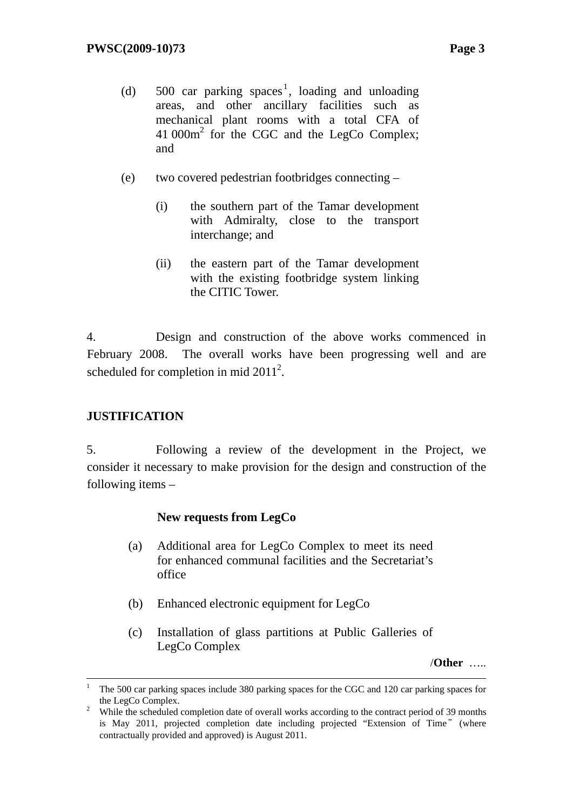- (d)  $500$  car parking spaces<sup>1</sup>, loading and unloading areas, and other ancillary facilities such as mechanical plant rooms with a total CFA of 41 000m<sup>2</sup> for the CGC and the LegCo Complex; and
- (e) two covered pedestrian footbridges connecting
	- (i) the southern part of the Tamar development with Admiralty, close to the transport interchange; and
	- (ii) the eastern part of the Tamar development with the existing footbridge system linking the CITIC Tower.

4. Design and construction of the above works commenced in February 2008. The overall works have been progressing well and are scheduled for completion in mid  $2011^2$ .

## **JUSTIFICATION**

5. Following a review of the development in the Project, we consider it necessary to make provision for the design and construction of the following items –

## **New requests from LegCo**

- (a) Additional area for LegCo Complex to meet its need for enhanced communal facilities and the Secretariat's office
- (b) Enhanced electronic equipment for LegCo
- (c) Installation of glass partitions at Public Galleries of LegCo Complex

/**Other** …..

 $\frac{1}{1}$  The 500 car parking spaces include 380 parking spaces for the CGC and 120 car parking spaces for the LegCo Complex. 2

<sup>&</sup>lt;sup>2</sup> While the scheduled completion date of overall works according to the contract period of 39 months is May 2011, projected completion date including projected "Extension of Time"(where contractually provided and approved) is August 2011.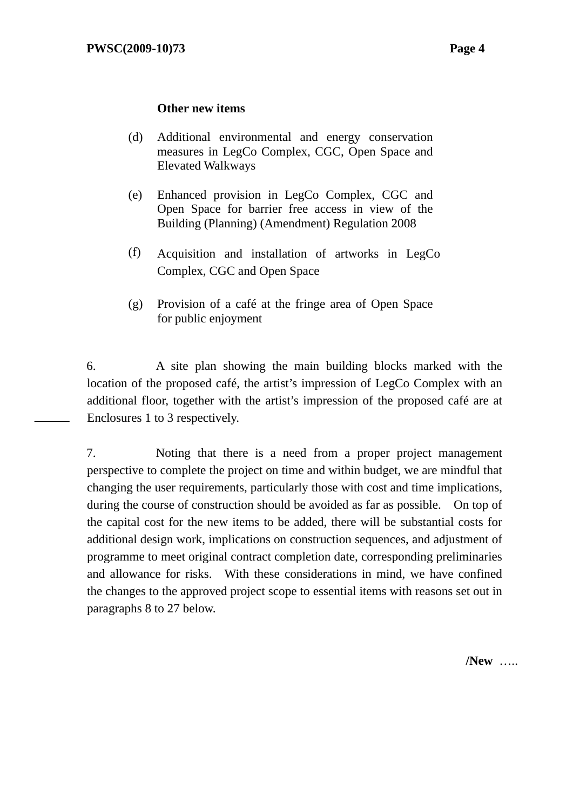#### **Other new items**

- (d) Additional environmental and energy conservation measures in LegCo Complex, CGC, Open Space and Elevated Walkways
- (e) Enhanced provision in LegCo Complex, CGC and Open Space for barrier free access in view of the Building (Planning) (Amendment) Regulation 2008
- (f) Acquisition and installation of artworks in LegCo Complex, CGC and Open Space
- (g) Provision of a café at the fringe area of Open Space for public enjoyment

6. A site plan showing the main building blocks marked with the location of the proposed café, the artist's impression of LegCo Complex with an additional floor, together with the artist's impression of the proposed café are at Enclosures 1 to 3 respectively.

7. Noting that there is a need from a proper project management perspective to complete the project on time and within budget, we are mindful that changing the user requirements, particularly those with cost and time implications, during the course of construction should be avoided as far as possible. On top of the capital cost for the new items to be added, there will be substantial costs for additional design work, implications on construction sequences, and adjustment of programme to meet original contract completion date, corresponding preliminaries and allowance for risks. With these considerations in mind, we have confined the changes to the approved project scope to essential items with reasons set out in paragraphs 8 to 27 below.

**/New** …..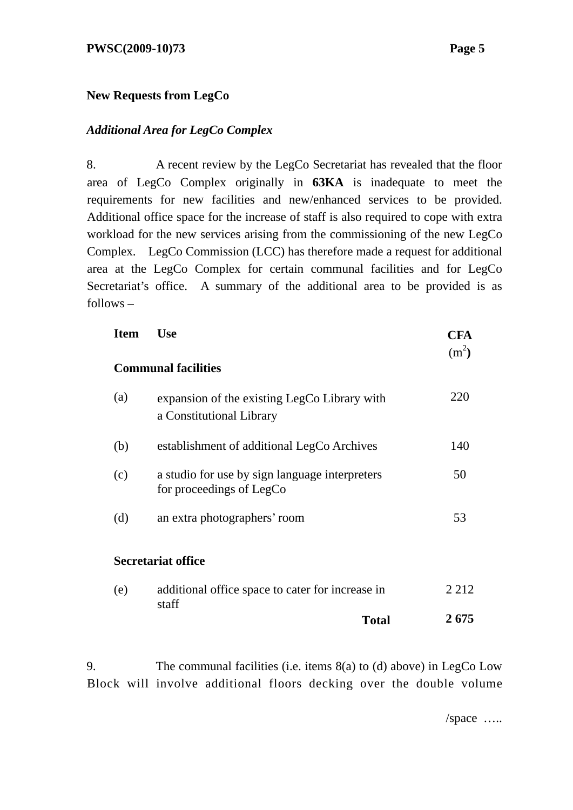#### **PWSC(2009-10)73 Page 5**

#### **New Requests from LegCo**

#### *Additional Area for LegCo Complex*

8. A recent review by the LegCo Secretariat has revealed that the floor area of LegCo Complex originally in **63KA** is inadequate to meet the requirements for new facilities and new/enhanced services to be provided. Additional office space for the increase of staff is also required to cope with extra workload for the new services arising from the commissioning of the new LegCo Complex. LegCo Commission (LCC) has therefore made a request for additional area at the LegCo Complex for certain communal facilities and for LegCo Secretariat's office. A summary of the additional area to be provided is as follows –

| <b>Item</b> | <b>Use</b>                                                                 | <b>CFA</b>        |
|-------------|----------------------------------------------------------------------------|-------------------|
|             | <b>Communal facilities</b>                                                 | (m <sup>2</sup> ) |
| (a)         | expansion of the existing LegCo Library with<br>a Constitutional Library   | 220               |
| (b)         | establishment of additional LegCo Archives                                 | 140               |
| (c)         | a studio for use by sign language interpreters<br>for proceedings of LegCo | 50                |
| (d)         | an extra photographers' room                                               | 53                |
|             | <b>Secretariat office</b>                                                  |                   |
| (e)         | additional office space to cater for increase in<br>staff                  | 2 2 1 2           |
|             | <b>Total</b>                                                               | 2675              |

9. The communal facilities (i.e. items 8(a) to (d) above) in LegCo Low Block will involve additional floors decking over the double volume

/space …..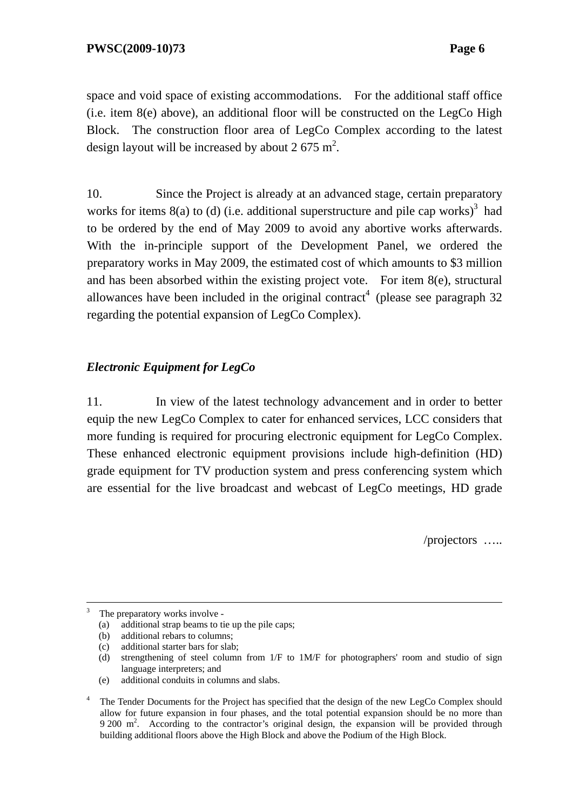space and void space of existing accommodations. For the additional staff office (i.e. item 8(e) above), an additional floor will be constructed on the LegCo High Block. The construction floor area of LegCo Complex according to the latest design layout will be increased by about 2 675 m<sup>2</sup>.

10. Since the Project is already at an advanced stage, certain preparatory works for items  $8(a)$  to (d) (i.e. additional superstructure and pile cap works)<sup>3</sup> had to be ordered by the end of May 2009 to avoid any abortive works afterwards. With the in-principle support of the Development Panel, we ordered the preparatory works in May 2009, the estimated cost of which amounts to \$3 million and has been absorbed within the existing project vote. For item 8(e), structural allowances have been included in the original contract<sup>4</sup> (please see paragraph  $32$ regarding the potential expansion of LegCo Complex).

## *Electronic Equipment for LegCo*

11. In view of the latest technology advancement and in order to better equip the new LegCo Complex to cater for enhanced services, LCC considers that more funding is required for procuring electronic equipment for LegCo Complex. These enhanced electronic equipment provisions include high-definition (HD) grade equipment for TV production system and press conferencing system which are essential for the live broadcast and webcast of LegCo meetings, HD grade

/projectors …..

(e) additional conduits in columns and slabs.

 $\frac{1}{3}$ The preparatory works involve -

<sup>(</sup>a) additional strap beams to tie up the pile caps;

<sup>(</sup>b) additional rebars to columns;

<sup>(</sup>c) additional starter bars for slab;

<sup>(</sup>d) strengthening of steel column from  $1/F$  to  $1M/F$  for photographers' room and studio of sign language interpreters; and

<sup>4</sup> The Tender Documents for the Project has specified that the design of the new LegCo Complex should allow for future expansion in four phases, and the total potential expansion should be no more than 9 200 m<sup>2</sup>. According to the contractor's original design, the expansion will be provided through building additional floors above the High Block and above the Podium of the High Block.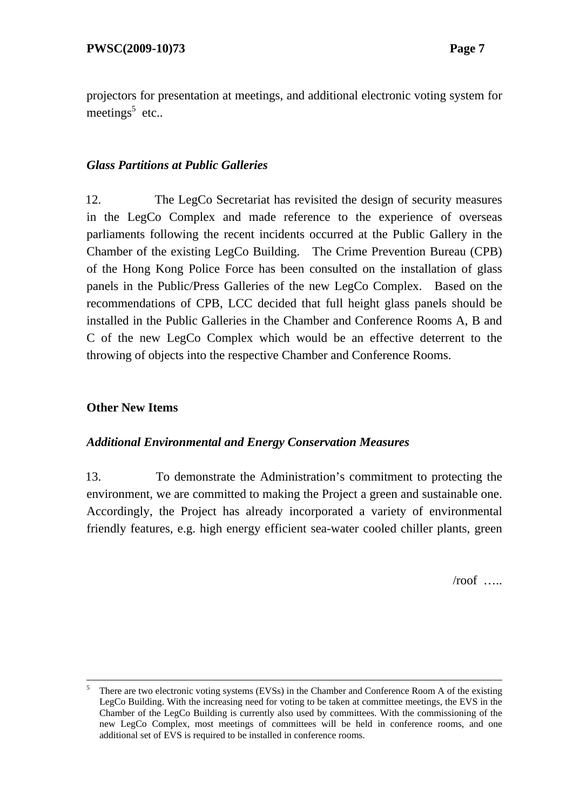projectors for presentation at meetings, and additional electronic voting system for meetings<sup>5</sup> etc..

#### *Glass Partitions at Public Galleries*

12. The LegCo Secretariat has revisited the design of security measures in the LegCo Complex and made reference to the experience of overseas parliaments following the recent incidents occurred at the Public Gallery in the Chamber of the existing LegCo Building. The Crime Prevention Bureau (CPB) of the Hong Kong Police Force has been consulted on the installation of glass panels in the Public/Press Galleries of the new LegCo Complex. Based on the recommendations of CPB, LCC decided that full height glass panels should be installed in the Public Galleries in the Chamber and Conference Rooms A, B and C of the new LegCo Complex which would be an effective deterrent to the throwing of objects into the respective Chamber and Conference Rooms.

#### **Other New Items**

#### *Additional Environmental and Energy Conservation Measures*

13. To demonstrate the Administration's commitment to protecting the environment, we are committed to making the Project a green and sustainable one. Accordingly, the Project has already incorporated a variety of environmental friendly features, e.g. high energy efficient sea-water cooled chiller plants, green

 $/$ roof …

 $\frac{1}{5}$  There are two electronic voting systems (EVSs) in the Chamber and Conference Room A of the existing LegCo Building. With the increasing need for voting to be taken at committee meetings, the EVS in the Chamber of the LegCo Building is currently also used by committees. With the commissioning of the new LegCo Complex, most meetings of committees will be held in conference rooms, and one additional set of EVS is required to be installed in conference rooms.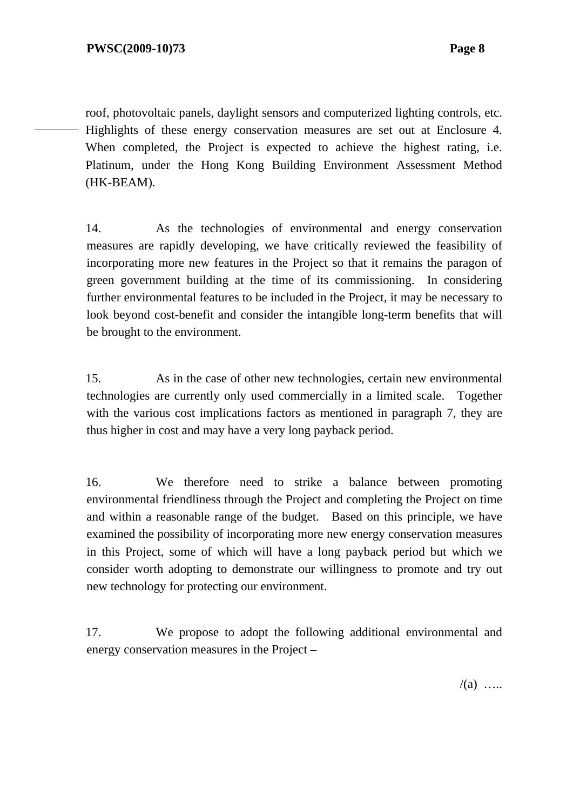roof, photovoltaic panels, daylight sensors and computerized lighting controls, etc. Highlights of these energy conservation measures are set out at Enclosure 4. When completed, the Project is expected to achieve the highest rating, *i.e.* Platinum, under the Hong Kong Building Environment Assessment Method (HK-BEAM).

14. As the technologies of environmental and energy conservation measures are rapidly developing, we have critically reviewed the feasibility of incorporating more new features in the Project so that it remains the paragon of green government building at the time of its commissioning. In considering further environmental features to be included in the Project, it may be necessary to look beyond cost-benefit and consider the intangible long-term benefits that will be brought to the environment.

15. As in the case of other new technologies, certain new environmental technologies are currently only used commercially in a limited scale. Together with the various cost implications factors as mentioned in paragraph 7, they are thus higher in cost and may have a very long payback period.

16. We therefore need to strike a balance between promoting environmental friendliness through the Project and completing the Project on time and within a reasonable range of the budget. Based on this principle, we have examined the possibility of incorporating more new energy conservation measures in this Project, some of which will have a long payback period but which we consider worth adopting to demonstrate our willingness to promote and try out new technology for protecting our environment.

17. We propose to adopt the following additional environmental and energy conservation measures in the Project –

 $/(a)$  …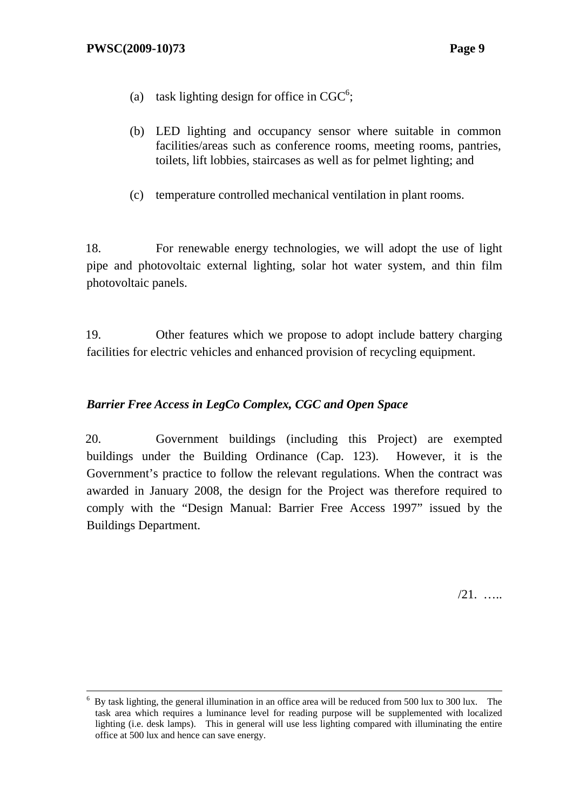- (a) task lighting design for office in  $CGC^6$ ;
- (b) LED lighting and occupancy sensor where suitable in common facilities/areas such as conference rooms, meeting rooms, pantries, toilets, lift lobbies, staircases as well as for pelmet lighting; and
- (c) temperature controlled mechanical ventilation in plant rooms.

18. For renewable energy technologies, we will adopt the use of light pipe and photovoltaic external lighting, solar hot water system, and thin film photovoltaic panels.

19. Other features which we propose to adopt include battery charging facilities for electric vehicles and enhanced provision of recycling equipment.

### *Barrier Free Access in LegCo Complex, CGC and Open Space*

20. Government buildings (including this Project) are exempted buildings under the Building Ordinance (Cap. 123). However, it is the Government's practice to follow the relevant regulations. When the contract was awarded in January 2008, the design for the Project was therefore required to comply with the "Design Manual: Barrier Free Access 1997" issued by the Buildings Department.

/21. …..

 $\frac{1}{6}$  By task lighting, the general illumination in an office area will be reduced from 500 lux to 300 lux. The task area which requires a luminance level for reading purpose will be supplemented with localized lighting (i.e. desk lamps). This in general will use less lighting compared with illuminating the entire office at 500 lux and hence can save energy.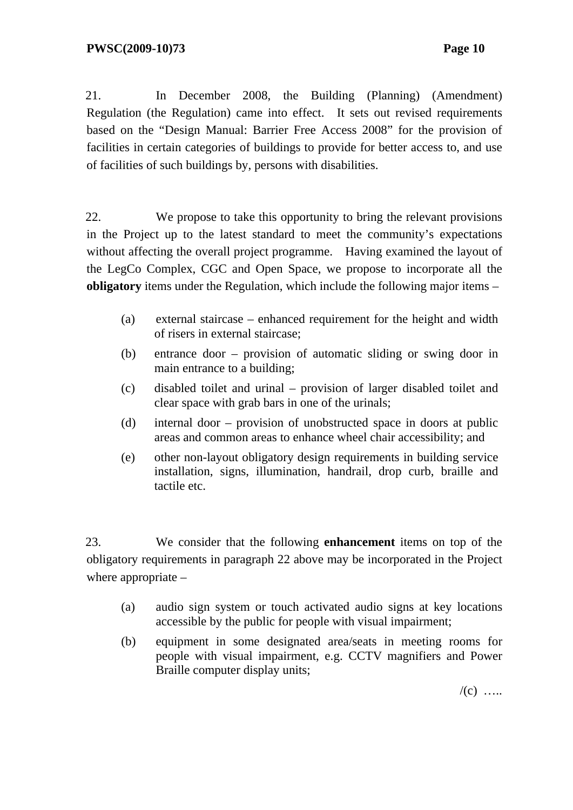21. In December 2008, the Building (Planning) (Amendment) Regulation (the Regulation) came into effect. It sets out revised requirements based on the "Design Manual: Barrier Free Access 2008" for the provision of facilities in certain categories of buildings to provide for better access to, and use of facilities of such buildings by, persons with disabilities.

22. We propose to take this opportunity to bring the relevant provisions in the Project up to the latest standard to meet the community's expectations without affecting the overall project programme. Having examined the layout of the LegCo Complex, CGC and Open Space, we propose to incorporate all the **obligatory** items under the Regulation, which include the following major items –

- (a) external staircase enhanced requirement for the height and width of risers in external staircase;
- (b) entrance door provision of automatic sliding or swing door in main entrance to a building;
- (c) disabled toilet and urinal provision of larger disabled toilet and clear space with grab bars in one of the urinals;
- (d) internal door provision of unobstructed space in doors at public areas and common areas to enhance wheel chair accessibility; and
- (e) other non-layout obligatory design requirements in building service installation, signs, illumination, handrail, drop curb, braille and tactile etc.

23. We consider that the following **enhancement** items on top of the obligatory requirements in paragraph 22 above may be incorporated in the Project where appropriate –

- (a) audio sign system or touch activated audio signs at key locations accessible by the public for people with visual impairment;
- (b) equipment in some designated area/seats in meeting rooms for people with visual impairment, e.g. CCTV magnifiers and Power Braille computer display units;

 $/(c)$  …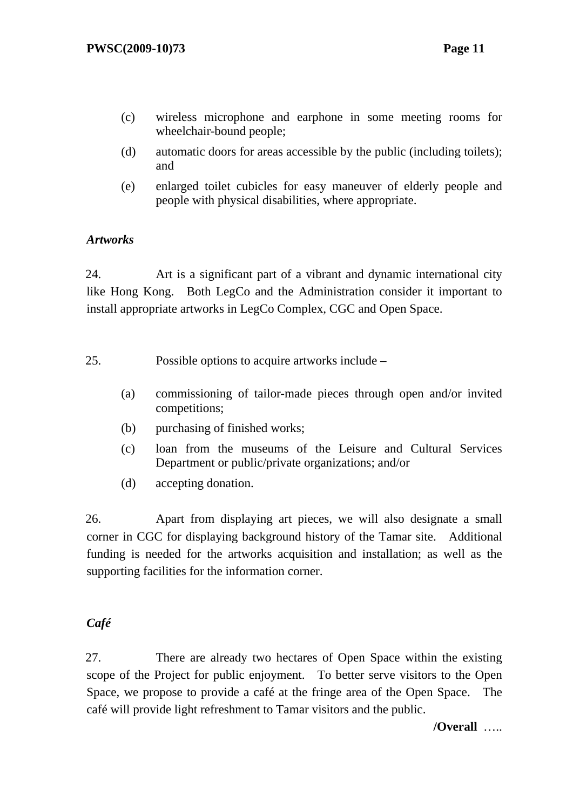- (c) wireless microphone and earphone in some meeting rooms for wheelchair-bound people;
- (d) automatic doors for areas accessible by the public (including toilets); and
- (e) enlarged toilet cubicles for easy maneuver of elderly people and people with physical disabilities, where appropriate.

## *Artworks*

24. Art is a significant part of a vibrant and dynamic international city like Hong Kong. Both LegCo and the Administration consider it important to install appropriate artworks in LegCo Complex, CGC and Open Space.

- 25. Possible options to acquire artworks include
	- (a) commissioning of tailor-made pieces through open and/or invited competitions;
	- (b) purchasing of finished works;
	- (c) loan from the museums of the Leisure and Cultural Services Department or public/private organizations; and/or
	- (d) accepting donation.

26. Apart from displaying art pieces, we will also designate a small corner in CGC for displaying background history of the Tamar site. Additional funding is needed for the artworks acquisition and installation; as well as the supporting facilities for the information corner.

#### *Café*

27. There are already two hectares of Open Space within the existing scope of the Project for public enjoyment. To better serve visitors to the Open Space, we propose to provide a café at the fringe area of the Open Space. The café will provide light refreshment to Tamar visitors and the public.

**/Overall** …..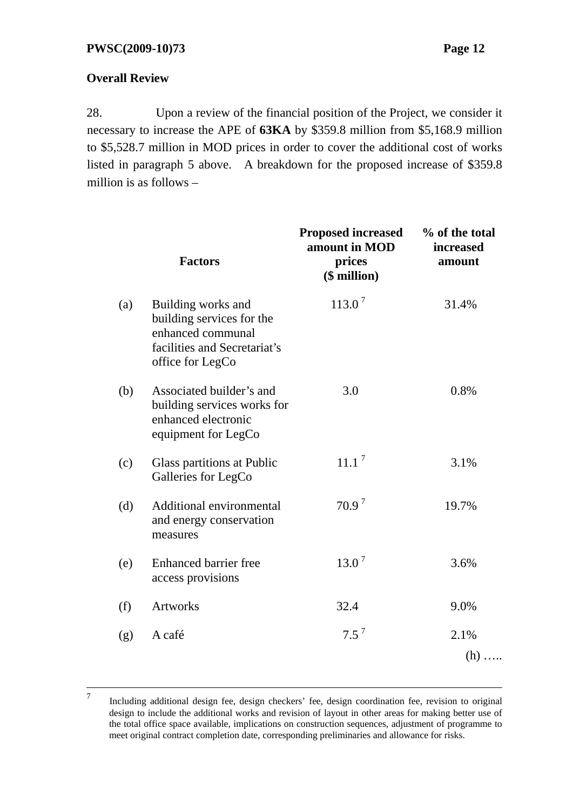## **Overall Review**

28. Upon a review of the financial position of the Project, we consider it necessary to increase the APE of **63KA** by \$359.8 million from \$5,168.9 million to \$5,528.7 million in MOD prices in order to cover the additional cost of works listed in paragraph 5 above. A breakdown for the proposed increase of \$359.8 million is as follows –

|     | <b>Factors</b>                                                                                                           | <b>Proposed increased</b><br>amount in MOD<br>prices<br>$$$ million) | % of the total<br><i>increased</i><br>amount |
|-----|--------------------------------------------------------------------------------------------------------------------------|----------------------------------------------------------------------|----------------------------------------------|
| (a) | Building works and<br>building services for the<br>enhanced communal<br>facilities and Secretariat's<br>office for LegCo | $113.0^7$                                                            | 31.4%                                        |
| (b) | Associated builder's and<br>building services works for<br>enhanced electronic<br>equipment for LegCo                    | 3.0                                                                  | 0.8%                                         |
| (c) | Glass partitions at Public<br>Galleries for LegCo                                                                        | 11.1 <sup>7</sup>                                                    | 3.1%                                         |
| (d) | Additional environmental<br>and energy conservation<br>measures                                                          | 70.9 <sup>7</sup>                                                    | 19.7%                                        |
| (e) | Enhanced barrier free<br>access provisions                                                                               | $13.0^7$                                                             | 3.6%                                         |
| (f) | <b>Artworks</b>                                                                                                          | 32.4                                                                 | 9.0%                                         |
| (g) | A café                                                                                                                   | $7.5^7$                                                              | 2.1%<br>$(h)$                                |

 <sup>7</sup> Including additional design fee, design checkers' fee, design coordination fee, revision to original design to include the additional works and revision of layout in other areas for making better use of the total office space available, implications on construction sequences, adjustment of programme to meet original contract completion date, corresponding preliminaries and allowance for risks.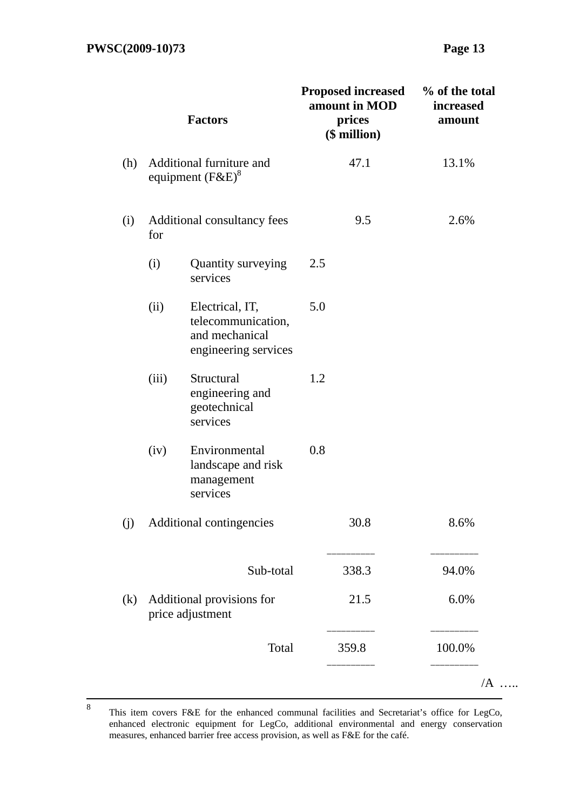|     |       | <b>Factors</b>                                                                  |     | <b>Proposed increased</b><br>amount in MOD<br>prices<br>$($$ million $)$ | % of the total<br>increased<br>amount |
|-----|-------|---------------------------------------------------------------------------------|-----|--------------------------------------------------------------------------|---------------------------------------|
| (h) |       | Additional furniture and<br>equipment $(F\&E)^8$                                |     | 47.1                                                                     | 13.1%                                 |
| (i) | for   | Additional consultancy fees                                                     |     | 9.5                                                                      | 2.6%                                  |
|     | (i)   | Quantity surveying<br>services                                                  | 2.5 |                                                                          |                                       |
|     | (ii)  | Electrical, IT,<br>telecommunication,<br>and mechanical<br>engineering services | 5.0 |                                                                          |                                       |
|     | (iii) | Structural<br>engineering and<br>geotechnical<br>services                       | 1.2 |                                                                          |                                       |
|     | (iv)  | Environmental<br>landscape and risk<br>management<br>services                   | 0.8 |                                                                          |                                       |
| (j) |       | Additional contingencies                                                        |     | 30.8                                                                     | 8.6%                                  |
|     |       | Sub-total                                                                       |     | 338.3                                                                    | 94.0%                                 |
| (k) |       | Additional provisions for<br>price adjustment                                   |     | 21.5                                                                     | 6.0%                                  |
|     |       | Total                                                                           |     | 359.8                                                                    | 100.0%                                |
|     |       |                                                                                 |     |                                                                          | $/A$                                  |

 <sup>8</sup> This item covers F&E for the enhanced communal facilities and Secretariat's office for LegCo, enhanced electronic equipment for LegCo, additional environmental and energy conservation measures, enhanced barrier free access provision, as well as F&E for the café.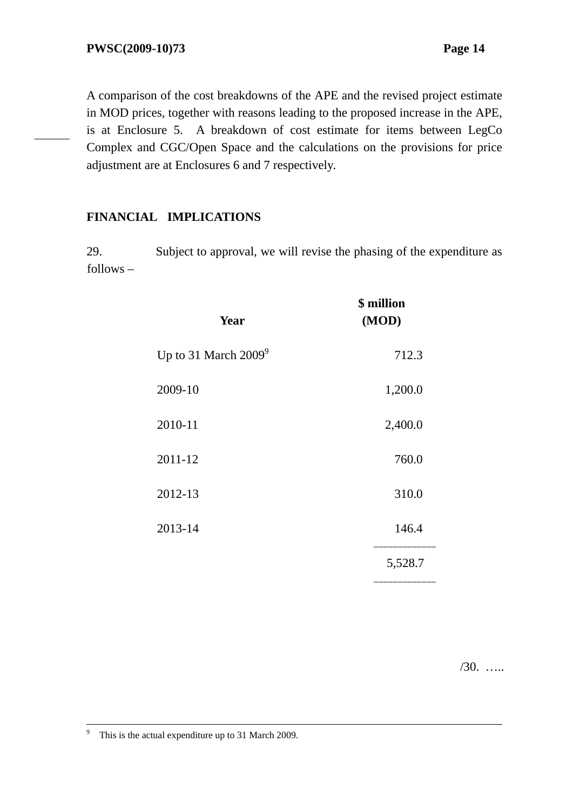A comparison of the cost breakdowns of the APE and the revised project estimate in MOD prices, together with reasons leading to the proposed increase in the APE, is at Enclosure 5. A breakdown of cost estimate for items between LegCo Complex and CGC/Open Space and the calculations on the provisions for price adjustment are at Enclosures 6 and 7 respectively.

#### **FINANCIAL IMPLICATIONS**

29. Subject to approval, we will revise the phasing of the expenditure as follows –

| Year                    | \$ million<br>(MOD) |
|-------------------------|---------------------|
| Up to 31 March $2009^9$ | 712.3               |
| 2009-10                 | 1,200.0             |
| 2010-11                 | 2,400.0             |
| 2011-12                 | 760.0               |
| 2012-13                 | 310.0               |
| 2013-14                 | 146.4               |
|                         | 5,528.7             |

/30. …..

<sup>-&</sup>lt;br>9 <sup>9</sup> This is the actual expenditure up to 31 March 2009.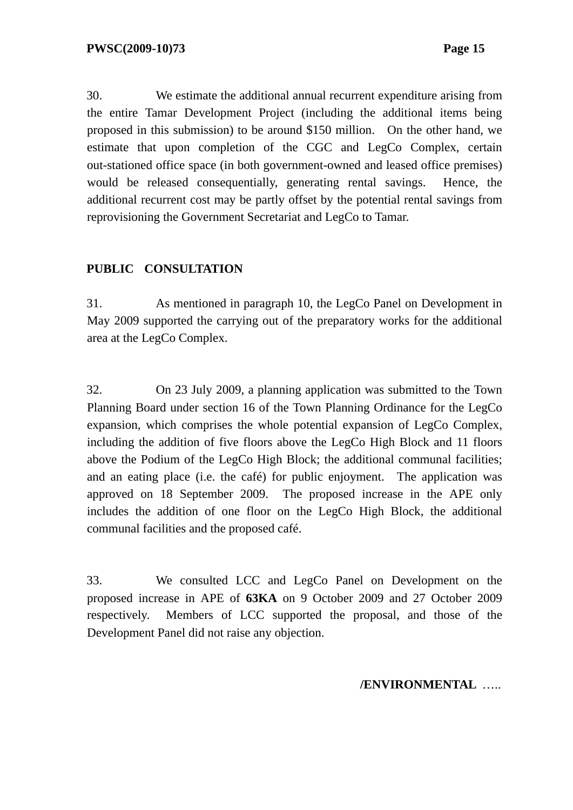30. We estimate the additional annual recurrent expenditure arising from the entire Tamar Development Project (including the additional items being proposed in this submission) to be around \$150 million. On the other hand, we estimate that upon completion of the CGC and LegCo Complex, certain out-stationed office space (in both government-owned and leased office premises) would be released consequentially, generating rental savings. Hence, the additional recurrent cost may be partly offset by the potential rental savings from reprovisioning the Government Secretariat and LegCo to Tamar.

## **PUBLIC CONSULTATION**

31. As mentioned in paragraph 10, the LegCo Panel on Development in May 2009 supported the carrying out of the preparatory works for the additional area at the LegCo Complex.

32. On 23 July 2009, a planning application was submitted to the Town Planning Board under section 16 of the Town Planning Ordinance for the LegCo expansion, which comprises the whole potential expansion of LegCo Complex, including the addition of five floors above the LegCo High Block and 11 floors above the Podium of the LegCo High Block; the additional communal facilities; and an eating place (i.e. the café) for public enjoyment. The application was approved on 18 September 2009. The proposed increase in the APE only includes the addition of one floor on the LegCo High Block, the additional communal facilities and the proposed café.

33. We consulted LCC and LegCo Panel on Development on the proposed increase in APE of **63KA** on 9 October 2009 and 27 October 2009 respectively. Members of LCC supported the proposal, and those of the Development Panel did not raise any objection.

**/ENVIRONMENTAL** …..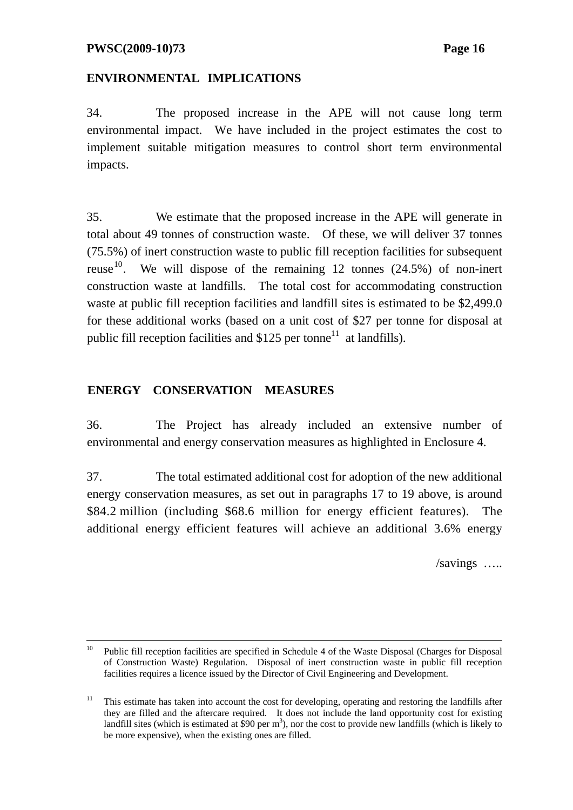### **ENVIRONMENTAL IMPLICATIONS**

34. The proposed increase in the APE will not cause long term environmental impact. We have included in the project estimates the cost to implement suitable mitigation measures to control short term environmental impacts.

35. We estimate that the proposed increase in the APE will generate in total about 49 tonnes of construction waste. Of these, we will deliver 37 tonnes  $(75.5\%)$  of inert construction waste to public fill reception facilities for subsequent reuse<sup>10</sup>. We will dispose of the remaining 12 tonnes  $(24.5%)$  of non-inert construction waste at landfills. The total cost for accommodating construction waste at public fill reception facilities and landfill sites is estimated to be \$2,499.0 for these additional works (based on a unit cost of \$27 per tonne for disposal at public fill reception facilities and  $$125$  per tonne<sup>11</sup> at landfills).

#### **ENERGY CONSERVATION MEASURES**

36. The Project has already included an extensive number of environmental and energy conservation measures as highlighted in Enclosure 4.

37. The total estimated additional cost for adoption of the new additional energy conservation measures, as set out in paragraphs 17 to 19 above, is around \$84.2 million (including \$68.6 million for energy efficient features). The additional energy efficient features will achieve an additional 3.6% energy

/savings …..

 <sup>10</sup> Public fill reception facilities are specified in Schedule 4 of the Waste Disposal (Charges for Disposal of Construction Waste) Regulation. Disposal of inert construction waste in public fill reception facilities requires a licence issued by the Director of Civil Engineering and Development.

<sup>&</sup>lt;sup>11</sup> This estimate has taken into account the cost for developing, operating and restoring the landfills after they are filled and the aftercare required. It does not include the land opportunity cost for existing landfill sites (which is estimated at  $\overline{\$90}$  per m<sup>3</sup>), nor the cost to provide new landfills (which is likely to be more expensive), when the existing ones are filled.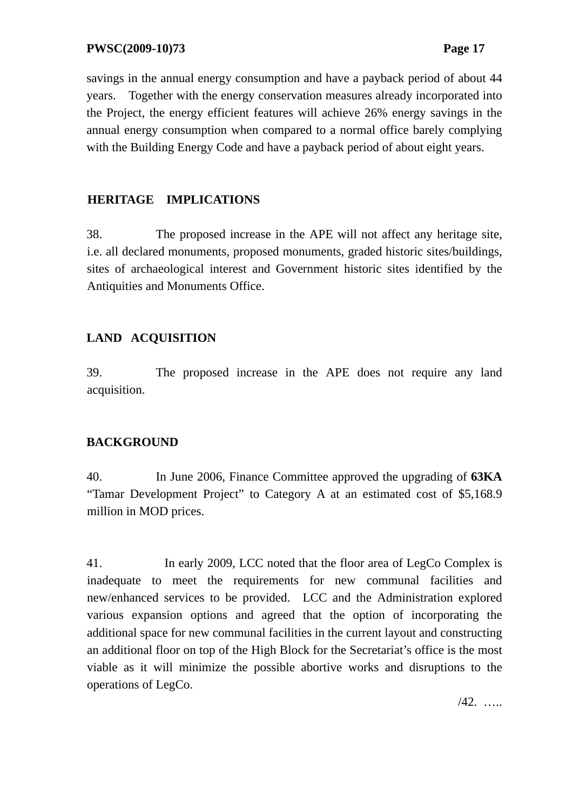savings in the annual energy consumption and have a payback period of about 44 years. Together with the energy conservation measures already incorporated into the Project, the energy efficient features will achieve 26% energy savings in the annual energy consumption when compared to a normal office barely complying with the Building Energy Code and have a payback period of about eight years.

## **HERITAGE IMPLICATIONS**

38. The proposed increase in the APE will not affect any heritage site, i.e. all declared monuments, proposed monuments, graded historic sites/buildings, sites of archaeological interest and Government historic sites identified by the Antiquities and Monuments Office.

## **LAND ACQUISITION**

39. The proposed increase in the APE does not require any land acquisition.

## **BACKGROUND**

40. In June 2006, Finance Committee approved the upgrading of **63KA** "Tamar Development Project" to Category A at an estimated cost of \$5,168.9 million in MOD prices.

41. In early 2009, LCC noted that the floor area of LegCo Complex is inadequate to meet the requirements for new communal facilities and new/enhanced services to be provided. LCC and the Administration explored various expansion options and agreed that the option of incorporating the additional space for new communal facilities in the current layout and constructing an additional floor on top of the High Block for the Secretariat's office is the most viable as it will minimize the possible abortive works and disruptions to the operations of LegCo.

/42. …..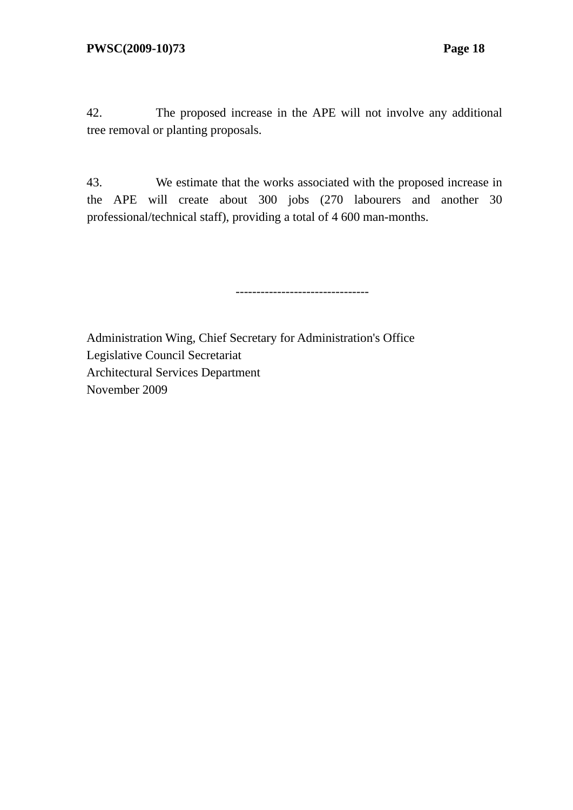42. The proposed increase in the APE will not involve any additional tree removal or planting proposals.

43. We estimate that the works associated with the proposed increase in the APE will create about 300 jobs (270 labourers and another 30 professional/technical staff), providing a total of 4 600 man-months.

--------------------------------

Administration Wing, Chief Secretary for Administration's Office Legislative Council Secretariat Architectural Services Department November 2009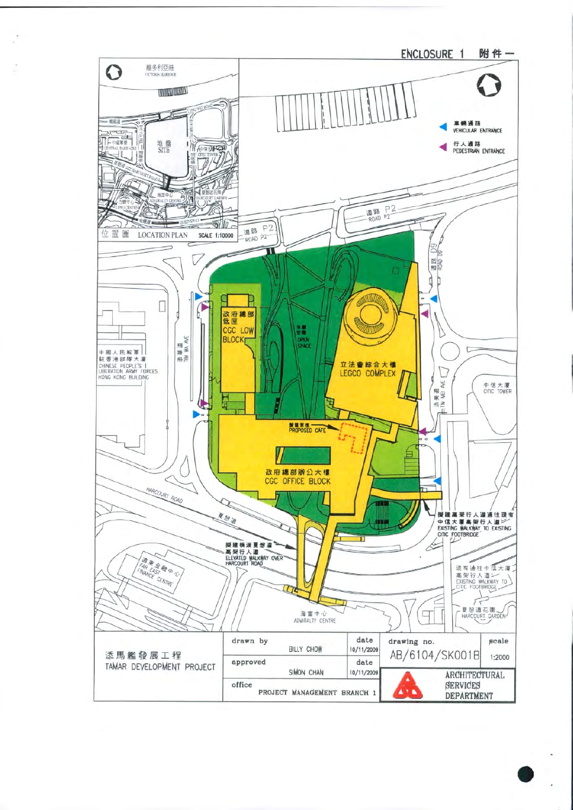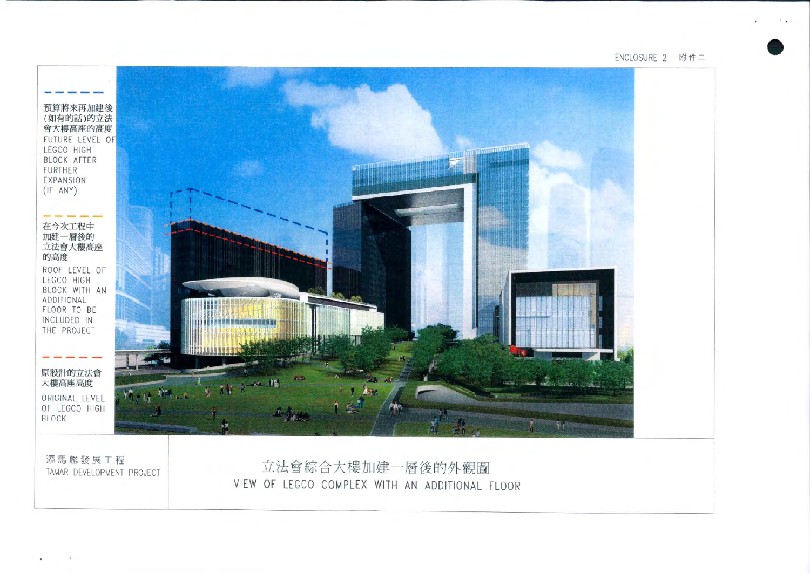ENCLOSURE 2 附件二

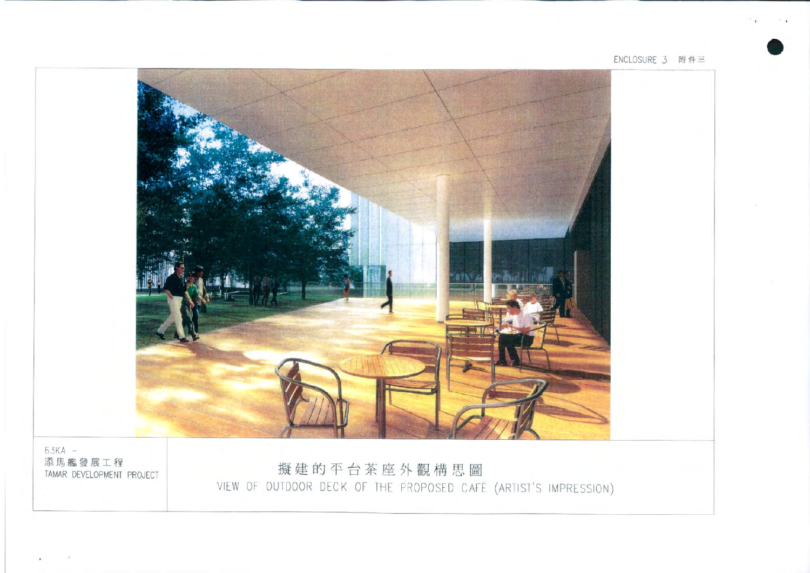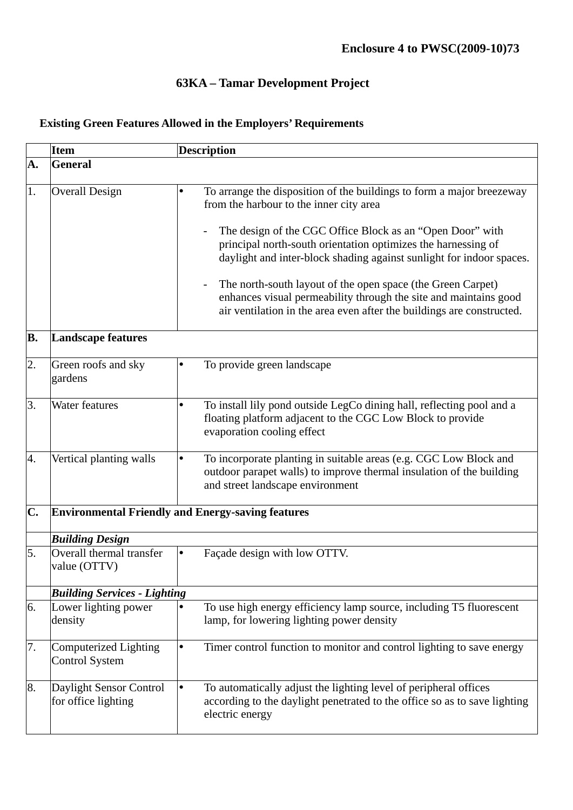# **63KA – Tamar Development Project**

|                                                                | <b>Item</b>                                           | <b>Description</b>                                                                                                                                                                                       |  |  |  |
|----------------------------------------------------------------|-------------------------------------------------------|----------------------------------------------------------------------------------------------------------------------------------------------------------------------------------------------------------|--|--|--|
| A.                                                             | <b>General</b>                                        |                                                                                                                                                                                                          |  |  |  |
|                                                                |                                                       |                                                                                                                                                                                                          |  |  |  |
| 1.                                                             | <b>Overall Design</b>                                 | To arrange the disposition of the buildings to form a major breezeway<br>$\bullet$<br>from the harbour to the inner city area                                                                            |  |  |  |
|                                                                |                                                       | The design of the CGC Office Block as an "Open Door" with<br>principal north-south orientation optimizes the harnessing of<br>daylight and inter-block shading against sunlight for indoor spaces.       |  |  |  |
|                                                                |                                                       | The north-south layout of the open space (the Green Carpet)<br>enhances visual permeability through the site and maintains good<br>air ventilation in the area even after the buildings are constructed. |  |  |  |
| <b>B.</b>                                                      | <b>Landscape features</b>                             |                                                                                                                                                                                                          |  |  |  |
| $\overline{2}$ .                                               | Green roofs and sky<br>gardens                        | To provide green landscape<br>$\bullet$                                                                                                                                                                  |  |  |  |
| 3.                                                             | Water features                                        | To install lily pond outside LegCo dining hall, reflecting pool and a<br>٠<br>floating platform adjacent to the CGC Low Block to provide<br>evaporation cooling effect                                   |  |  |  |
| 4.                                                             | Vertical planting walls                               | To incorporate planting in suitable areas (e.g. CGC Low Block and<br>٠<br>outdoor parapet walls) to improve thermal insulation of the building<br>and street landscape environment                       |  |  |  |
| C.<br><b>Environmental Friendly and Energy-saving features</b> |                                                       |                                                                                                                                                                                                          |  |  |  |
|                                                                | <b>Building Design</b>                                |                                                                                                                                                                                                          |  |  |  |
| 5.                                                             | Overall thermal transfer<br>value (OTTV)              | Façade design with low OTTV.                                                                                                                                                                             |  |  |  |
|                                                                | <b>Building Services - Lighting</b>                   |                                                                                                                                                                                                          |  |  |  |
| 6.                                                             | Lower lighting power<br>density                       | To use high energy efficiency lamp source, including T5 fluorescent<br>$\bullet$<br>lamp, for lowering lighting power density                                                                            |  |  |  |
| 7.                                                             | <b>Computerized Lighting</b><br><b>Control System</b> | Timer control function to monitor and control lighting to save energy<br>$\bullet$                                                                                                                       |  |  |  |
| 8.                                                             | Daylight Sensor Control<br>for office lighting        | To automatically adjust the lighting level of peripheral offices<br>$\bullet$<br>according to the daylight penetrated to the office so as to save lighting<br>electric energy                            |  |  |  |

# **Existing Green Features Allowed in the Employers' Requirements**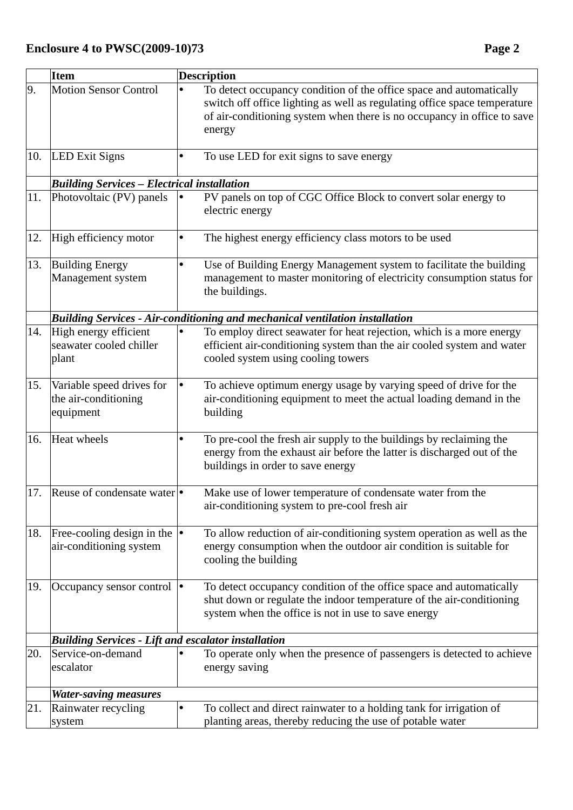|     | <b>Item</b>                                                       | <b>Description</b>                                                                                                                                                                                                                    |
|-----|-------------------------------------------------------------------|---------------------------------------------------------------------------------------------------------------------------------------------------------------------------------------------------------------------------------------|
| 9.  | <b>Motion Sensor Control</b>                                      | To detect occupancy condition of the office space and automatically<br>switch off office lighting as well as regulating office space temperature<br>of air-conditioning system when there is no occupancy in office to save<br>energy |
| 10. | <b>LED Exit Signs</b>                                             | To use LED for exit signs to save energy                                                                                                                                                                                              |
|     | <b>Building Services - Electrical installation</b>                |                                                                                                                                                                                                                                       |
| 11. | Photovoltaic (PV) panels                                          | PV panels on top of CGC Office Block to convert solar energy to<br>electric energy                                                                                                                                                    |
| 12. | High efficiency motor                                             | The highest energy efficiency class motors to be used                                                                                                                                                                                 |
| 13. | <b>Building Energy</b><br>Management system                       | Use of Building Energy Management system to facilitate the building<br>management to master monitoring of electricity consumption status for<br>the buildings.                                                                        |
|     |                                                                   | <b>Building Services - Air-conditioning and mechanical ventilation installation</b>                                                                                                                                                   |
| 14. | High energy efficient<br>seawater cooled chiller<br>plant         | To employ direct seawater for heat rejection, which is a more energy<br>efficient air-conditioning system than the air cooled system and water<br>cooled system using cooling towers                                                  |
| 15. | Variable speed drives for<br>the air-conditioning<br>equipment    | To achieve optimum energy usage by varying speed of drive for the<br>air-conditioning equipment to meet the actual loading demand in the<br>building                                                                                  |
| 16. | Heat wheels                                                       | To pre-cool the fresh air supply to the buildings by reclaiming the<br>energy from the exhaust air before the latter is discharged out of the<br>buildings in order to save energy                                                    |
| 17. | Reuse of condensate water  •                                      | Make use of lower temperature of condensate water from the<br>air-conditioning system to pre-cool fresh air                                                                                                                           |
| 18. | Free-cooling design in the $  \cdot  $<br>air-conditioning system | To allow reduction of air-conditioning system operation as well as the<br>energy consumption when the outdoor air condition is suitable for<br>cooling the building                                                                   |
| 19. | Occupancy sensor control  •                                       | To detect occupancy condition of the office space and automatically<br>shut down or regulate the indoor temperature of the air-conditioning<br>system when the office is not in use to save energy                                    |
|     | <b>Building Services - Lift and escalator installation</b>        |                                                                                                                                                                                                                                       |
| 20. | Service-on-demand<br>escalator                                    | To operate only when the presence of passengers is detected to achieve<br>energy saving                                                                                                                                               |
|     | <b>Water-saving measures</b>                                      |                                                                                                                                                                                                                                       |
| 21. | Rainwater recycling<br>system                                     | To collect and direct rainwater to a holding tank for irrigation of<br>planting areas, thereby reducing the use of potable water                                                                                                      |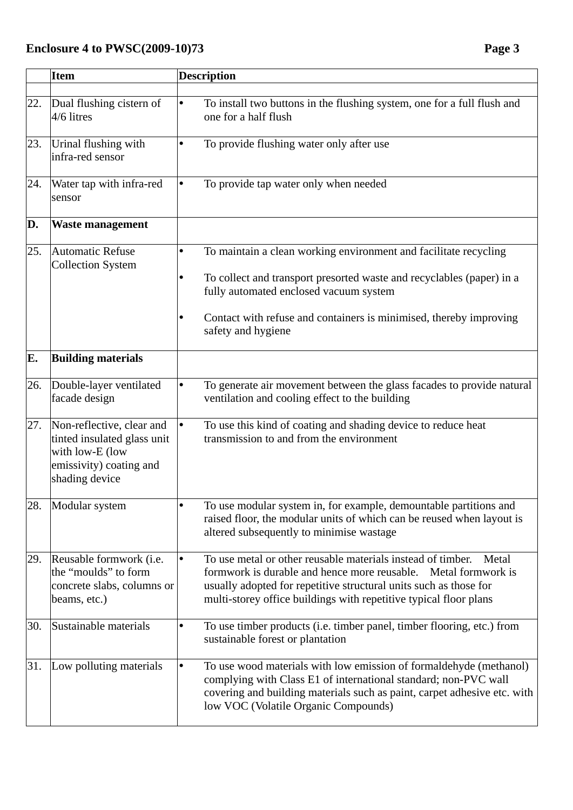|     | <b>Item</b>                                                                                                              | <b>Description</b>                                                                                                                                                                                                                                                               |
|-----|--------------------------------------------------------------------------------------------------------------------------|----------------------------------------------------------------------------------------------------------------------------------------------------------------------------------------------------------------------------------------------------------------------------------|
|     |                                                                                                                          |                                                                                                                                                                                                                                                                                  |
| 22. | Dual flushing cistern of<br>4/6 litres                                                                                   | To install two buttons in the flushing system, one for a full flush and<br>one for a half flush                                                                                                                                                                                  |
| 23. | Urinal flushing with<br>infra-red sensor                                                                                 | To provide flushing water only after use                                                                                                                                                                                                                                         |
| 24. | Water tap with infra-red<br>sensor                                                                                       | To provide tap water only when needed                                                                                                                                                                                                                                            |
| D.  | <b>Waste management</b>                                                                                                  |                                                                                                                                                                                                                                                                                  |
| 25. | <b>Automatic Refuse</b><br><b>Collection System</b>                                                                      | To maintain a clean working environment and facilitate recycling                                                                                                                                                                                                                 |
|     |                                                                                                                          | To collect and transport presorted waste and recyclables (paper) in a<br>fully automated enclosed vacuum system                                                                                                                                                                  |
|     |                                                                                                                          | Contact with refuse and containers is minimised, thereby improving<br>safety and hygiene                                                                                                                                                                                         |
| E.  | <b>Building materials</b>                                                                                                |                                                                                                                                                                                                                                                                                  |
| 26. | Double-layer ventilated<br>facade design                                                                                 | To generate air movement between the glass facades to provide natural<br>ventilation and cooling effect to the building                                                                                                                                                          |
| 27. | Non-reflective, clear and<br>tinted insulated glass unit<br>with low-E (low<br>emissivity) coating and<br>shading device | To use this kind of coating and shading device to reduce heat<br>transmission to and from the environment                                                                                                                                                                        |
| 28. | Modular system                                                                                                           | To use modular system in, for example, demountable partitions and<br>raised floor, the modular units of which can be reused when layout is<br>altered subsequently to minimise wastage                                                                                           |
| 29. | Reusable formwork (i.e.<br>the "moulds" to form<br>concrete slabs, columns or<br>beams, etc.)                            | To use metal or other reusable materials instead of timber.<br>Metal<br>formwork is durable and hence more reusable. Metal formwork is<br>usually adopted for repetitive structural units such as those for<br>multi-storey office buildings with repetitive typical floor plans |
| 30. | Sustainable materials                                                                                                    | To use timber products (i.e. timber panel, timber flooring, etc.) from<br>sustainable forest or plantation                                                                                                                                                                       |
| 31. | Low polluting materials                                                                                                  | To use wood materials with low emission of formaldehyde (methanol)<br>complying with Class E1 of international standard; non-PVC wall<br>covering and building materials such as paint, carpet adhesive etc. with<br>low VOC (Volatile Organic Compounds)                        |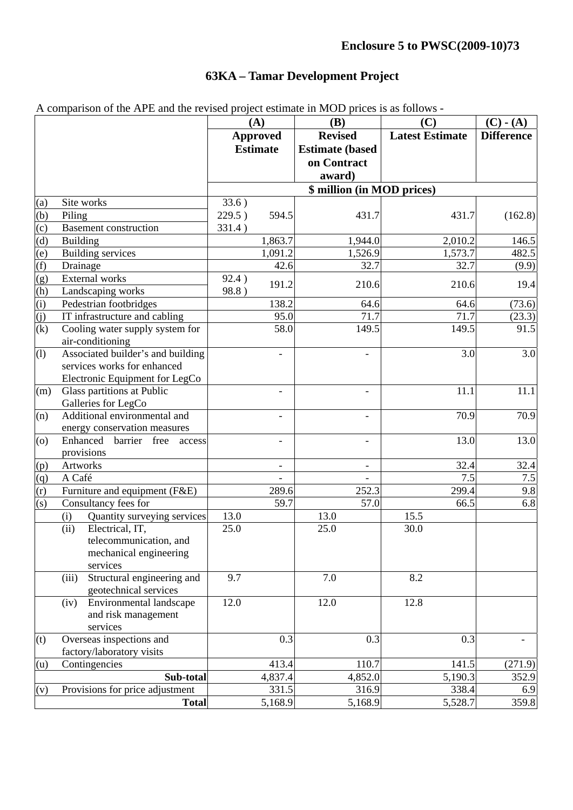# **63KA – Tamar Development Project**

|                                                             |                                                     | $\alpha$ comparison of the $\alpha$ if $\alpha$ and the fevilled project estimate in NOD prices is as follows<br>(A)<br>(C)<br><b>(B)</b> |                 |                            | $(C) - (A)$            |                   |
|-------------------------------------------------------------|-----------------------------------------------------|-------------------------------------------------------------------------------------------------------------------------------------------|-----------------|----------------------------|------------------------|-------------------|
|                                                             |                                                     |                                                                                                                                           | <b>Approved</b> | <b>Revised</b>             | <b>Latest Estimate</b> | <b>Difference</b> |
|                                                             |                                                     |                                                                                                                                           | <b>Estimate</b> | <b>Estimate (based)</b>    |                        |                   |
|                                                             |                                                     |                                                                                                                                           |                 | on Contract                |                        |                   |
|                                                             |                                                     |                                                                                                                                           |                 | award)                     |                        |                   |
|                                                             |                                                     |                                                                                                                                           |                 | \$ million (in MOD prices) |                        |                   |
| (a)                                                         | Site works                                          | 33.6)                                                                                                                                     |                 |                            |                        |                   |
| (b)                                                         | Piling                                              | 229.5)                                                                                                                                    | 594.5           | 431.7                      | 431.7                  | (162.8)           |
| $\overline{c}$                                              | <b>Basement construction</b>                        | 331.4)                                                                                                                                    |                 |                            |                        |                   |
| (d)                                                         | <b>Building</b>                                     |                                                                                                                                           | 1,863.7         | 1,944.0                    | 2,010.2                | 146.5             |
| (e)                                                         | <b>Building services</b>                            |                                                                                                                                           | 1,091.2         | 1,526.9                    | 1,573.7                | 482.5             |
| $\frac{(f)}{(g)}$<br>$\frac{(g)}{(h)}$<br>$\frac{(i)}{(j)}$ | Drainage                                            |                                                                                                                                           | 42.6            | 32.7                       | 32.7                   | (9.9)             |
|                                                             | External works                                      | 92.4)                                                                                                                                     | 191.2           | 210.6                      | 210.6                  | 19.4              |
|                                                             | Landscaping works                                   | 98.8)                                                                                                                                     |                 |                            |                        |                   |
|                                                             | Pedestrian footbridges                              |                                                                                                                                           | 138.2           | 64.6                       | 64.6                   | (73.6)            |
|                                                             | IT infrastructure and cabling                       |                                                                                                                                           | 95.0            | 71.7                       | 71.7                   | (23.3)            |
| $\overline{(\mathbf{k})}$                                   | Cooling water supply system for<br>air-conditioning |                                                                                                                                           | 58.0            | 149.5                      | 149.5                  | 91.5              |
| (1)                                                         | Associated builder's and building                   |                                                                                                                                           |                 |                            | 3.0                    | 3.0               |
|                                                             | services works for enhanced                         |                                                                                                                                           |                 |                            |                        |                   |
|                                                             | Electronic Equipment for LegCo                      |                                                                                                                                           |                 |                            |                        |                   |
| (m)                                                         | Glass partitions at Public                          |                                                                                                                                           |                 | $\blacksquare$             | 11.1                   | 11.1              |
|                                                             | Galleries for LegCo                                 |                                                                                                                                           |                 |                            |                        |                   |
| (n)                                                         | Additional environmental and                        |                                                                                                                                           |                 |                            | 70.9                   | 70.9              |
|                                                             | energy conservation measures                        |                                                                                                                                           |                 |                            |                        |                   |
| (0)                                                         | Enhanced<br>barrier free<br>access                  |                                                                                                                                           | $\overline{a}$  | $\overline{\phantom{a}}$   | 13.0                   | $\overline{13.0}$ |
|                                                             | provisions                                          |                                                                                                                                           |                 |                            |                        |                   |
| (p)                                                         | Artworks                                            |                                                                                                                                           | $\overline{a}$  | $\overline{\phantom{a}}$   | 32.4                   | 32.4              |
| $\frac{q}{r}$                                               | A Café                                              |                                                                                                                                           |                 |                            | 7.5                    | $7.5\,$           |
|                                                             | Furniture and equipment (F&E)                       |                                                                                                                                           | 289.6           | 252.3                      | 299.4                  | 9.8               |
| (s)                                                         | Consultancy fees for                                |                                                                                                                                           | 59.7            | 57.0                       | 66.5                   | 6.8               |
|                                                             | Quantity surveying services<br>(i)                  | 13.0                                                                                                                                      |                 | 13.0                       | 15.5                   |                   |
|                                                             | Electrical, IT,<br>(ii)                             | 25.0                                                                                                                                      |                 | 25.0                       | 30.0                   |                   |
|                                                             | telecommunication, and                              |                                                                                                                                           |                 |                            |                        |                   |
|                                                             | mechanical engineering<br>services                  |                                                                                                                                           |                 |                            |                        |                   |
|                                                             | Structural engineering and<br>(iii)                 | 9.7                                                                                                                                       |                 | 7.0                        | 8.2                    |                   |
|                                                             | geotechnical services                               |                                                                                                                                           |                 |                            |                        |                   |
|                                                             | Environmental landscape<br>(iv)                     | 12.0                                                                                                                                      |                 | 12.0                       | 12.8                   |                   |
|                                                             | and risk management                                 |                                                                                                                                           |                 |                            |                        |                   |
|                                                             | services                                            |                                                                                                                                           |                 |                            |                        |                   |
| (t)                                                         | Overseas inspections and                            |                                                                                                                                           | 0.3             | 0.3                        | 0.3                    |                   |
|                                                             | factory/laboratory visits                           |                                                                                                                                           |                 |                            |                        |                   |
| (u)                                                         | Contingencies                                       |                                                                                                                                           | 413.4           | 110.7                      | 141.5                  | (271.9)           |
|                                                             | Sub-total                                           |                                                                                                                                           | 4,837.4         | 4,852.0                    | 5,190.3                | 352.9             |
| (v)                                                         | Provisions for price adjustment                     |                                                                                                                                           | 331.5           | 316.9                      | 338.4                  | 6.9               |
|                                                             | <b>Total</b>                                        |                                                                                                                                           | 5,168.9         | 5,168.9                    | 5,528.7                | 359.8             |

A comparison of the APE and the revised project estimate in MOD prices is as follows -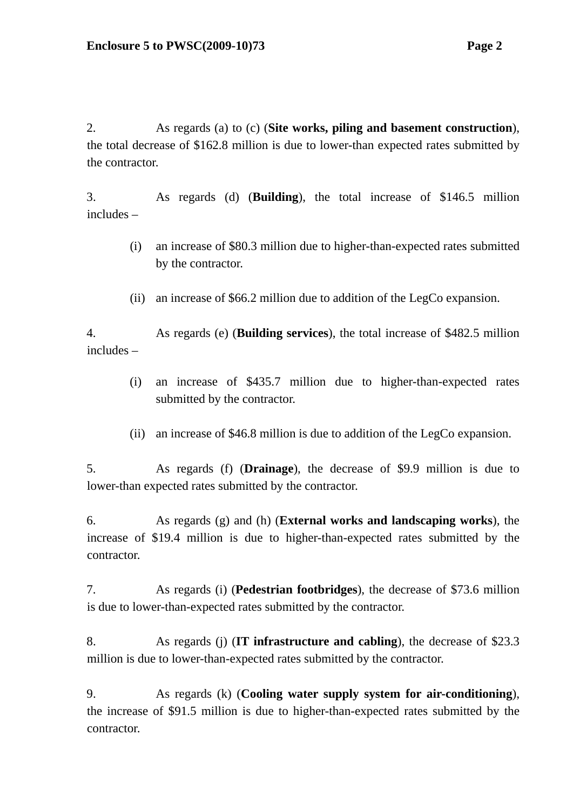2. As regards (a) to (c) (**Site works, piling and basement construction**), the total decrease of \$162.8 million is due to lower-than expected rates submitted by the contractor.

3. As regards (d) (**Building**), the total increase of \$146.5 million includes –

- (i) an increase of \$80.3 million due to higher-than-expected rates submitted by the contractor.
- (ii) an increase of \$66.2 million due to addition of the LegCo expansion.

4. As regards (e) (**Building services**), the total increase of \$482.5 million includes –

- (i) an increase of \$435.7 million due to higher-than-expected rates submitted by the contractor.
- (ii) an increase of \$46.8 million is due to addition of the LegCo expansion.

5. As regards (f) (**Drainage**), the decrease of \$9.9 million is due to lower-than expected rates submitted by the contractor.

6. As regards (g) and (h) (**External works and landscaping works**), the increase of \$19.4 million is due to higher-than-expected rates submitted by the contractor.

7. As regards (i) (**Pedestrian footbridges**), the decrease of \$73.6 million is due to lower-than-expected rates submitted by the contractor.

8. As regards (j) (**IT infrastructure and cabling**), the decrease of \$23.3 million is due to lower-than-expected rates submitted by the contractor.

9. As regards (k) (**Cooling water supply system for air-conditioning**), the increase of \$91.5 million is due to higher-than-expected rates submitted by the contractor.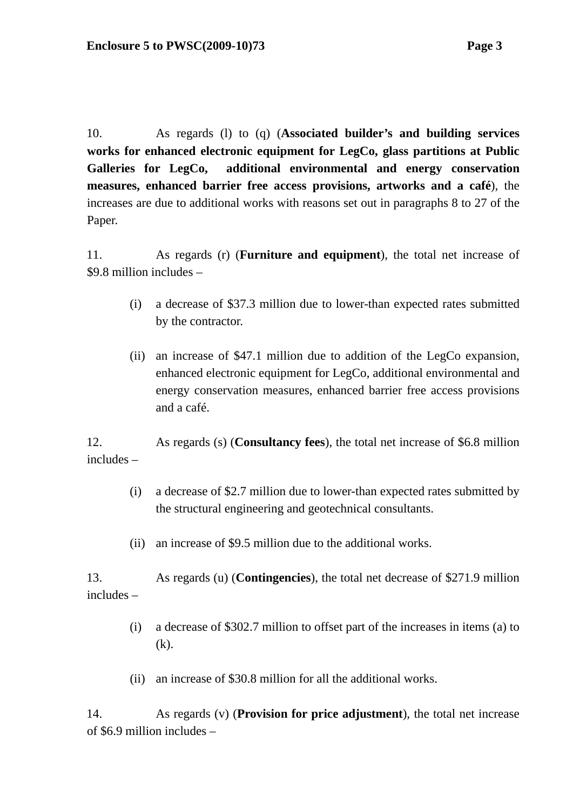10. As regards (l) to (q) (**Associated builder's and building services works for enhanced electronic equipment for LegCo, glass partitions at Public Galleries for LegCo, additional environmental and energy conservation measures, enhanced barrier free access provisions, artworks and a café**), the increases are due to additional works with reasons set out in paragraphs 8 to 27 of the Paper.

11. As regards (r) (**Furniture and equipment**), the total net increase of \$9.8 million includes –

- (i) a decrease of \$37.3 million due to lower-than expected rates submitted by the contractor.
- (ii) an increase of \$47.1 million due to addition of the LegCo expansion, enhanced electronic equipment for LegCo, additional environmental and energy conservation measures, enhanced barrier free access provisions and a café.

12. As regards (s) (**Consultancy fees**), the total net increase of \$6.8 million includes –

- (i) a decrease of \$2.7 million due to lower-than expected rates submitted by the structural engineering and geotechnical consultants.
- (ii) an increase of \$9.5 million due to the additional works.

13. As regards (u) (**Contingencies**), the total net decrease of \$271.9 million includes –

- (i) a decrease of \$302.7 million to offset part of the increases in items (a) to (k).
- (ii) an increase of \$30.8 million for all the additional works.

14. As regards (v) (**Provision for price adjustment**), the total net increase of \$6.9 million includes –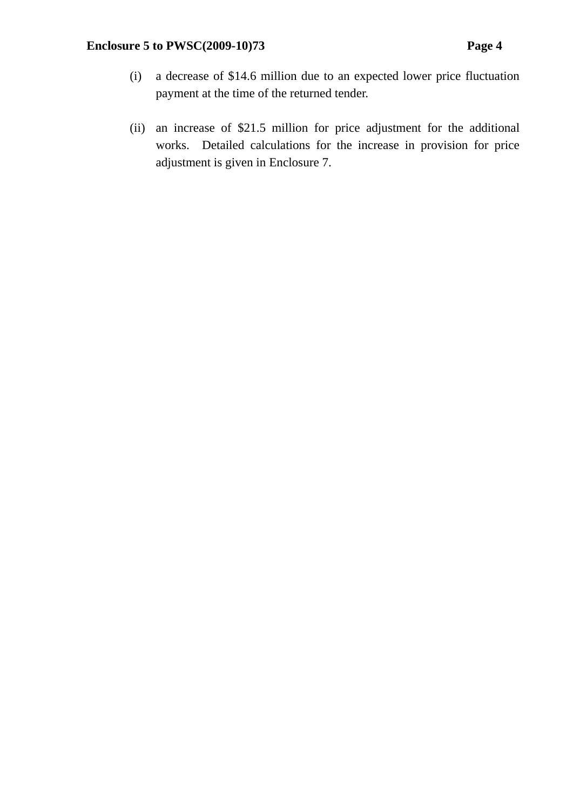- (i) a decrease of \$14.6 million due to an expected lower price fluctuation payment at the time of the returned tender.
- (ii) an increase of \$21.5 million for price adjustment for the additional works. Detailed calculations for the increase in provision for price adjustment is given in Enclosure 7.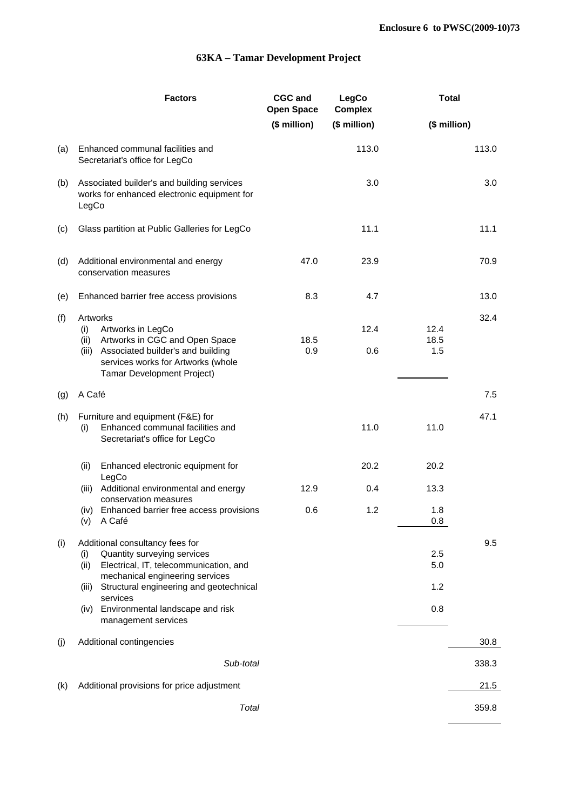#### **63KA – Tamar Development Project**

|     |                                                              | <b>Factors</b>                                                                                                                                                            | <b>CGC and</b><br><b>Open Space</b> | LegCo<br><b>Complex</b> | <b>Total</b>        |       |
|-----|--------------------------------------------------------------|---------------------------------------------------------------------------------------------------------------------------------------------------------------------------|-------------------------------------|-------------------------|---------------------|-------|
|     |                                                              |                                                                                                                                                                           | (\$ million)                        | (\$ million)            | (\$ million)        |       |
| (a) |                                                              | Enhanced communal facilities and<br>Secretariat's office for LegCo                                                                                                        |                                     | 113.0                   |                     | 113.0 |
| (b) | LegCo                                                        | Associated builder's and building services<br>works for enhanced electronic equipment for                                                                                 |                                     | 3.0                     |                     | 3.0   |
| (c) |                                                              | Glass partition at Public Galleries for LegCo                                                                                                                             |                                     | 11.1                    |                     | 11.1  |
| (d) | Additional environmental and energy<br>conservation measures |                                                                                                                                                                           | 47.0                                | 23.9                    |                     | 70.9  |
| (e) |                                                              | Enhanced barrier free access provisions                                                                                                                                   | 8.3                                 | 4.7                     |                     | 13.0  |
| (f) | Artworks<br>(i)<br>(ii)                                      | Artworks in LegCo<br>Artworks in CGC and Open Space<br>(iii) Associated builder's and building<br>services works for Artworks (whole<br><b>Tamar Development Project)</b> | 18.5<br>0.9                         | 12.4<br>0.6             | 12.4<br>18.5<br>1.5 | 32.4  |
| (g) | A Café                                                       |                                                                                                                                                                           |                                     |                         |                     | 7.5   |
| (h) | (i)                                                          | Furniture and equipment (F&E) for<br>Enhanced communal facilities and<br>Secretariat's office for LegCo                                                                   |                                     | 11.0                    | 11.0                | 47.1  |
|     | (ii)                                                         | Enhanced electronic equipment for<br>LegCo                                                                                                                                |                                     | 20.2                    | 20.2                |       |
|     |                                                              | (iii) Additional environmental and energy<br>conservation measures                                                                                                        | 12.9                                | 0.4                     | 13.3                |       |
|     | (iv)                                                         | Enhanced barrier free access provisions<br>(v) A Café                                                                                                                     | 0.6                                 | 1.2                     | 1.8<br>0.8          |       |
| (i) | (i)<br>(ii)                                                  | Additional consultancy fees for<br>Quantity surveying services<br>Electrical, IT, telecommunication, and<br>mechanical engineering services                               |                                     |                         | 2.5<br>5.0          | 9.5   |
|     | (iii)                                                        | Structural engineering and geotechnical<br>services                                                                                                                       |                                     |                         | 1.2                 |       |
|     | (iv)                                                         | Environmental landscape and risk<br>management services                                                                                                                   |                                     |                         | 0.8                 |       |
| (j) |                                                              | Additional contingencies                                                                                                                                                  |                                     |                         |                     | 30.8  |
|     |                                                              | Sub-total                                                                                                                                                                 |                                     |                         |                     | 338.3 |
| (k) |                                                              | Additional provisions for price adjustment                                                                                                                                |                                     |                         |                     | 21.5  |
|     |                                                              | Total                                                                                                                                                                     |                                     |                         |                     | 359.8 |